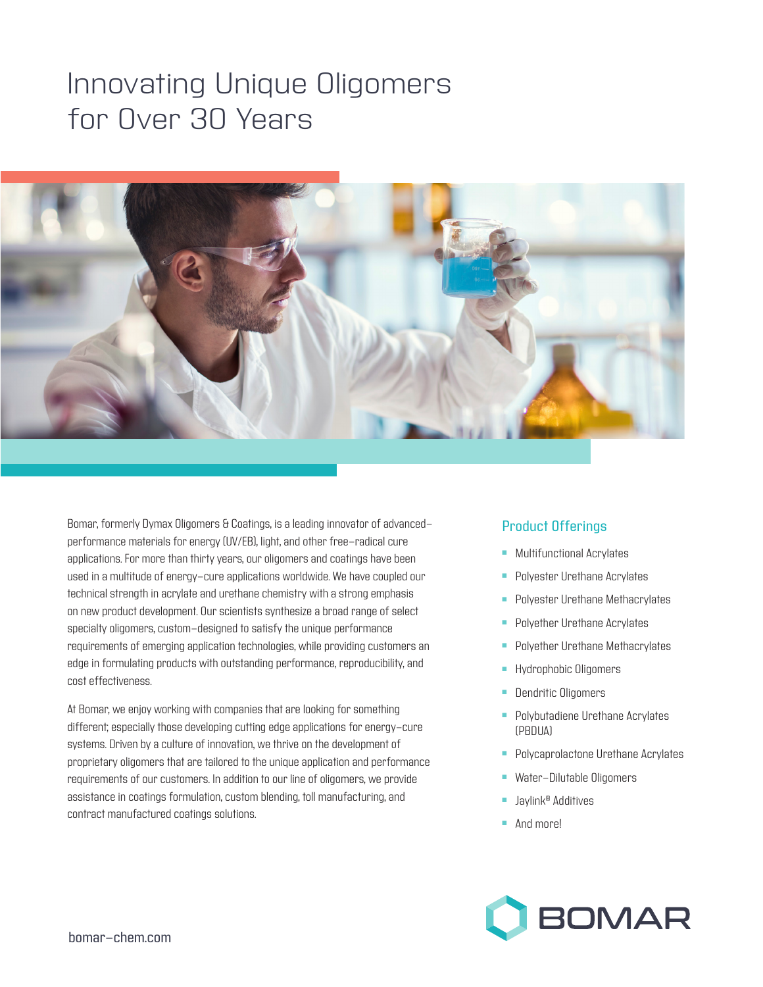## Innovating Unique Oligomers for Over 30 Years



Bomar, formerly Dymax Oligomers & Coatings, is a leading innovator of advancedperformance materials for energy (UV/EB), light, and other free-radical cure applications. For more than thirty years, our oligomers and coatings have been used in a multitude of energy-cure applications worldwide. We have coupled our technical strength in acrylate and urethane chemistry with a strong emphasis on new product development. Our scientists synthesize a broad range of select specialty oligomers, custom-designed to satisfy the unique performance requirements of emerging application technologies, while providing customers an edge in formulating products with outstanding performance, reproducibility, and cost effectiveness.

At Bomar, we enjoy working with companies that are looking for something different; especially those developing cutting edge applications for energy-cure systems. Driven by a culture of innovation, we thrive on the development of proprietary oligomers that are tailored to the unique application and performance requirements of our customers. In addition to our line of oligomers, we provide assistance in coatings formulation, custom blending, toll manufacturing, and contract manufactured coatings solutions.

## Product Offerings

- **-** Multifunctional Acrylates
- **Polyester Urethane Acrylates**
- **Polyester Urethane Methacrylates**
- **Polyether Urethane Acrylates**
- **Polyether Urethane Methacrylates**
- **-** Hydrophobic Oligomers
- **Dendritic Oligomers**
- **Polybutadiene Urethane Acrylates** (PBDUA)
- **Polycaprolactone Urethane Acrylates**
- **Nater-Dilutable Oligomers**
- Jaylink<sup>®</sup> Additives
- $And more!$